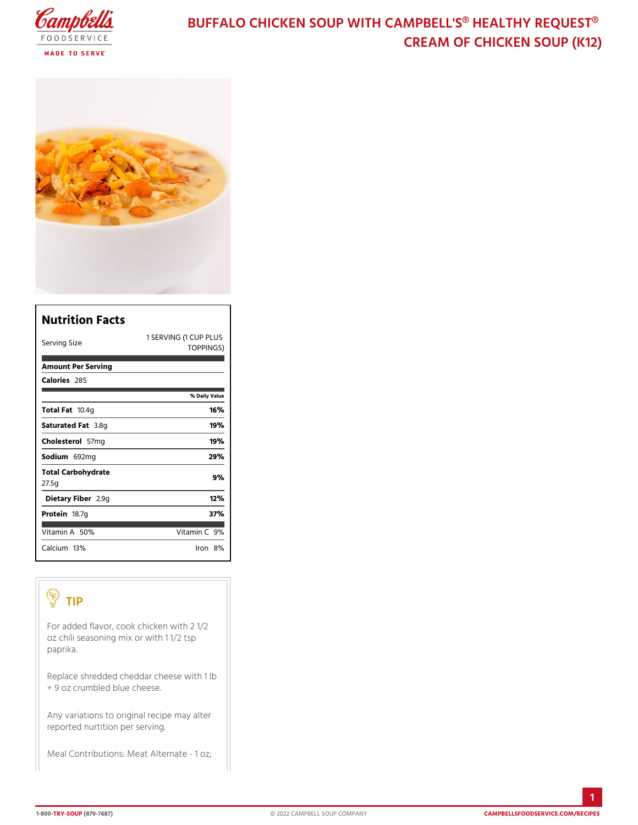# BUFFALO CHICKEN SOUP WITH CAMPBELL'S CREAM OF CHICKEN SO

| Nutrition Facts              |                                    |
|------------------------------|------------------------------------|
| Serving Size                 | 1 SERVING (1 CUP PLUS<br>TOPPINGS) |
| Amount Per Serving           |                                    |
| Calorie2s85                  |                                    |
|                              | % Daily Vallue                     |
| Total Fao.4g                 | 16%                                |
| Saturated 3F.&mg             | 19%                                |
| $Choleste5\bar{\sigma}$ lm g | 19%                                |
| Sodium 692 mg                | 29%                                |
| Total Carbohydrate<br>27.5g  | 9%                                 |
| Dietary F21b9egr             | 12%                                |
| Proteifi8.7g                 | 37%                                |
| Vitamin5A9%                  | Vitamin9 <b>%</b>                  |
| $C$ alciumt $3\%$            | $l$ ron $8\,\%$                    |

#### TIP

For added flavor, cook chicken with 2 1/2 oz chili seasoning mix or with 1 1/2 tsp paprika.

Replace shredded cheddar cheese with 1 lb  $+$  9 oz crumbled blue cheese.

Any variations to original recipe may alter reported nurtition per serving.

Meal Contributions: Meat Alternate - 1 oz;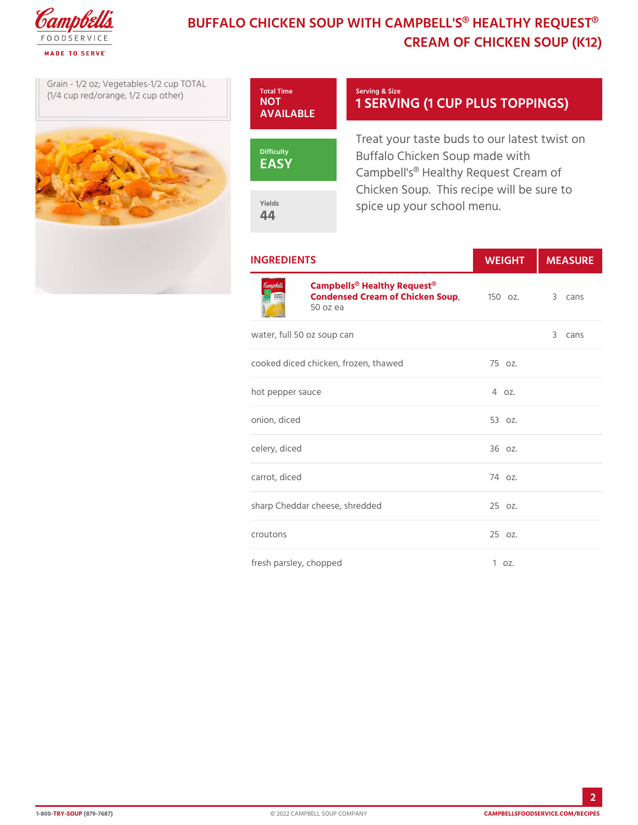## BUFFALO CHICKEN SOUP WITH CAMPBELL'S CREAM OF CHICKEN SO

Grain -  $1/2$  oz; Vegetables $\frac{1}{2}$  Total Time  $(1/4$  cup red/orange,  $1/2$  cup o

Serving & Size 1 SERVING (1 CUP PLUS

EASY

AVAILABLE

**NOT** 

Yields 44

Treat your taste buds to our lat Buffalo Chicken Soup made with Campbell's<sup>®</sup> Healthy Request C Chicken Soup. This recipe will spice up your school menu.

| <b>INGREDIENTS</b>                                                                                          |          | WEIGH MEASU |
|-------------------------------------------------------------------------------------------------------------|----------|-------------|
| Campbells <sup>®</sup> Healthy Request <sup>®</sup><br>Condensed Cream of Chick & 50Saup 3 cans<br>50 oz ea |          |             |
| water, full 50 oz soup can                                                                                  |          | 3 cans      |
| cooked diced chicken, frozen, thawe7d5 oz.                                                                  |          |             |
| hot pepper sauce                                                                                            | $4.02$ . |             |
| onion, diced                                                                                                | 53 oz.   |             |
| celery, diced                                                                                               | $360z$ . |             |
| carrot, diced                                                                                               | $740z$ . |             |
| sharp Cheddar cheese, shredded 25 oz.                                                                       |          |             |
| croutons                                                                                                    | 25 oz.   |             |
| fresh parsley, chopped                                                                                      | 1 oz.    |             |